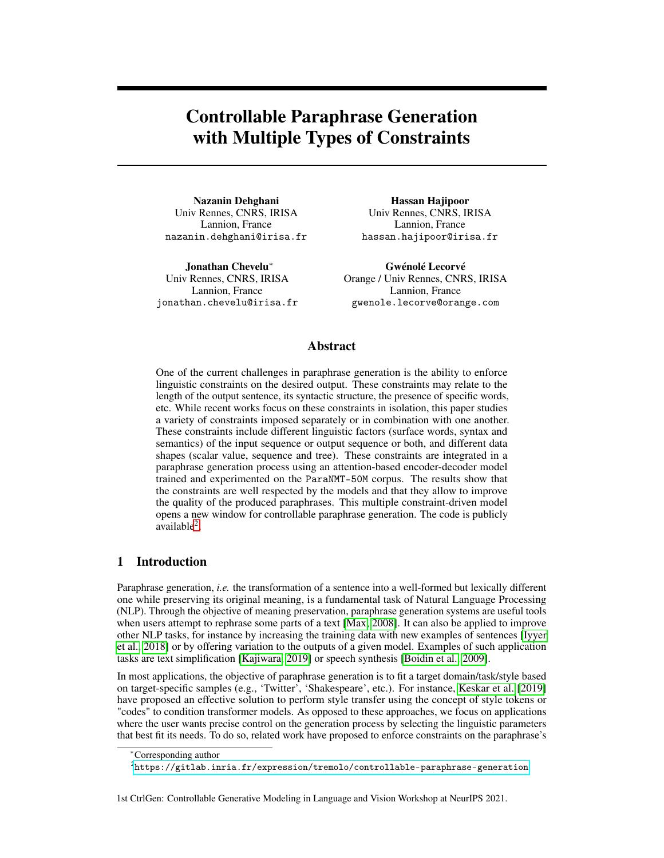# Controllable Paraphrase Generation with Multiple Types of Constraints

Nazanin Dehghani Univ Rennes, CNRS, IRISA Lannion, France nazanin.dehghani@irisa.fr

Jonathan Chevelu<sup>∗</sup> Univ Rennes, CNRS, IRISA Lannion, France jonathan.chevelu@irisa.fr

Hassan Hajipoor Univ Rennes, CNRS, IRISA Lannion, France hassan.hajipoor@irisa.fr

Gwénolé Lecorvé Orange / Univ Rennes, CNRS, IRISA Lannion, France gwenole.lecorve@orange.com

# Abstract

One of the current challenges in paraphrase generation is the ability to enforce linguistic constraints on the desired output. These constraints may relate to the length of the output sentence, its syntactic structure, the presence of specific words, etc. While recent works focus on these constraints in isolation, this paper studies a variety of constraints imposed separately or in combination with one another. These constraints include different linguistic factors (surface words, syntax and semantics) of the input sequence or output sequence or both, and different data shapes (scalar value, sequence and tree). These constraints are integrated in a paraphrase generation process using an attention-based encoder-decoder model trained and experimented on the ParaNMT-50M corpus. The results show that the constraints are well respected by the models and that they allow to improve the quality of the produced paraphrases. This multiple constraint-driven model opens a new window for controllable paraphrase generation. The code is publicly  $a$ vailable $2$ .

# 1 Introduction

Paraphrase generation, *i.e.* the transformation of a sentence into a well-formed but lexically different one while preserving its original meaning, is a fundamental task of Natural Language Processing (NLP). Through the objective of meaning preservation, paraphrase generation systems are useful tools when users attempt to rephrase some parts of a text [\[Max, 2008\]](#page-9-0). It can also be applied to improve other NLP tasks, for instance by increasing the training data with new examples of sentences [\[Iyyer](#page-9-1) [et al., 2018\]](#page-9-1) or by offering variation to the outputs of a given model. Examples of such application tasks are text simplification [\[Kajiwara, 2019\]](#page-9-2) or speech synthesis [\[Boidin et al., 2009\]](#page-9-3).

In most applications, the objective of paraphrase generation is to fit a target domain/task/style based on target-specific samples (e.g., 'Twitter', 'Shakespeare', etc.). For instance, [Keskar et al.](#page-9-4) [\[2019\]](#page-9-4) have proposed an effective solution to perform style transfer using the concept of style tokens or "codes" to condition transformer models. As opposed to these approaches, we focus on applications where the user wants precise control on the generation process by selecting the linguistic parameters that best fit its needs. To do so, related work have proposed to enforce constraints on the paraphrase's

1st CtrlGen: Controllable Generative Modeling in Language and Vision Workshop at NeurIPS 2021.

<sup>∗</sup>Corresponding author

<span id="page-0-0"></span> $^2$ <https://gitlab.inria.fr/expression/tremolo/controllable-paraphrase-generation>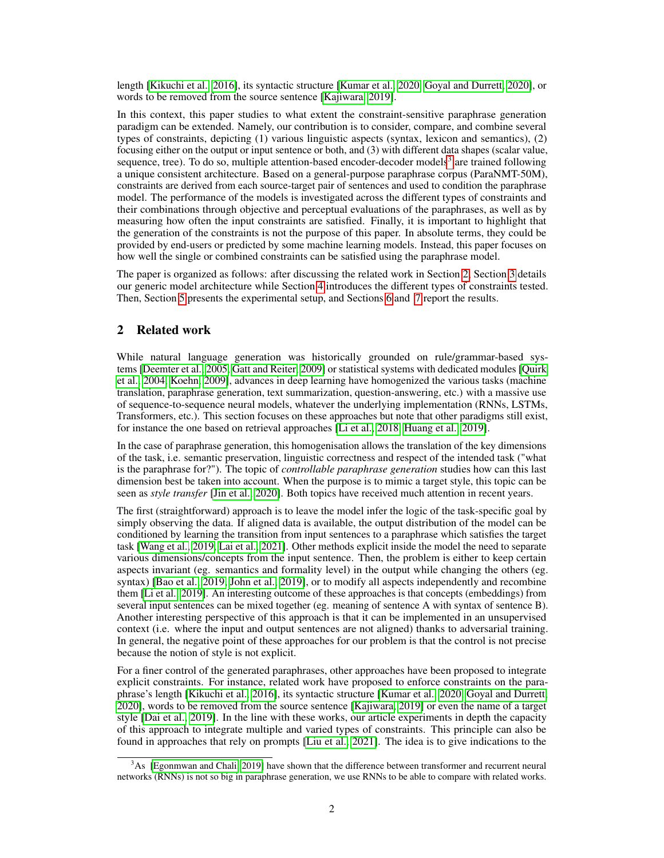length [\[Kikuchi et al., 2016\]](#page-9-5), its syntactic structure [\[Kumar et al., 2020,](#page-9-6) [Goyal and Durrett, 2020\]](#page-9-7), or words to be removed from the source sentence [\[Kajiwara, 2019\]](#page-9-2).

In this context, this paper studies to what extent the constraint-sensitive paraphrase generation paradigm can be extended. Namely, our contribution is to consider, compare, and combine several types of constraints, depicting (1) various linguistic aspects (syntax, lexicon and semantics), (2) focusing either on the output or input sentence or both, and (3) with different data shapes (scalar value, sequence, tree). To do so, multiple attention-based encoder-decoder models<sup>[3](#page-1-0)</sup> are trained following a unique consistent architecture. Based on a general-purpose paraphrase corpus (ParaNMT-50M), constraints are derived from each source-target pair of sentences and used to condition the paraphrase model. The performance of the models is investigated across the different types of constraints and their combinations through objective and perceptual evaluations of the paraphrases, as well as by measuring how often the input constraints are satisfied. Finally, it is important to highlight that the generation of the constraints is not the purpose of this paper. In absolute terms, they could be provided by end-users or predicted by some machine learning models. Instead, this paper focuses on how well the single or combined constraints can be satisfied using the paraphrase model.

The paper is organized as follows: after discussing the related work in Section [2,](#page-1-1) Section [3](#page-2-0) details our generic model architecture while Section [4](#page-2-1) introduces the different types of constraints tested. Then, Section [5](#page-4-0) presents the experimental setup, and Sections [6](#page-5-0) and [7](#page-7-0) report the results.

# <span id="page-1-1"></span>2 Related work

While natural language generation was historically grounded on rule/grammar-based systems [\[Deemter et al., 2005,](#page-9-8) [Gatt and Reiter, 2009\]](#page-9-9) or statistical systems with dedicated modules [\[Quirk](#page-9-10) [et al., 2004,](#page-9-10) [Koehn, 2009\]](#page-9-11), advances in deep learning have homogenized the various tasks (machine translation, paraphrase generation, text summarization, question-answering, etc.) with a massive use of sequence-to-sequence neural models, whatever the underlying implementation (RNNs, LSTMs, Transformers, etc.). This section focuses on these approaches but note that other paradigms still exist, for instance the one based on retrieval approaches [\[Li et al., 2018,](#page-9-12) [Huang et al., 2019\]](#page-9-13).

In the case of paraphrase generation, this homogenisation allows the translation of the key dimensions of the task, i.e. semantic preservation, linguistic correctness and respect of the intended task ("what is the paraphrase for?"). The topic of *controllable paraphrase generation* studies how can this last dimension best be taken into account. When the purpose is to mimic a target style, this topic can be seen as *style transfer* [\[Jin et al., 2020\]](#page-9-14). Both topics have received much attention in recent years.

The first (straightforward) approach is to leave the model infer the logic of the task-specific goal by simply observing the data. If aligned data is available, the output distribution of the model can be conditioned by learning the transition from input sentences to a paraphrase which satisfies the target task [\[Wang et al., 2019,](#page-9-15) [Lai et al., 2021\]](#page-9-16). Other methods explicit inside the model the need to separate various dimensions/concepts from the input sentence. Then, the problem is either to keep certain aspects invariant (eg. semantics and formality level) in the output while changing the others (eg. syntax) [\[Bao et al., 2019,](#page-9-17) [John et al., 2019\]](#page-10-0), or to modify all aspects independently and recombine them [\[Li et al., 2019\]](#page-10-1). An interesting outcome of these approaches is that concepts (embeddings) from several input sentences can be mixed together (eg. meaning of sentence A with syntax of sentence B). Another interesting perspective of this approach is that it can be implemented in an unsupervised context (i.e. where the input and output sentences are not aligned) thanks to adversarial training. In general, the negative point of these approaches for our problem is that the control is not precise because the notion of style is not explicit.

For a finer control of the generated paraphrases, other approaches have been proposed to integrate explicit constraints. For instance, related work have proposed to enforce constraints on the paraphrase's length [\[Kikuchi et al., 2016\]](#page-9-5), its syntactic structure [\[Kumar et al., 2020,](#page-9-6) [Goyal and Durrett,](#page-9-7) [2020\]](#page-9-7), words to be removed from the source sentence [\[Kajiwara, 2019\]](#page-9-2) or even the name of a target style [\[Dai et al., 2019\]](#page-10-2). In the line with these works, our article experiments in depth the capacity of this approach to integrate multiple and varied types of constraints. This principle can also be found in approaches that rely on prompts [\[Liu et al., 2021\]](#page-10-3). The idea is to give indications to the

<span id="page-1-0"></span><sup>&</sup>lt;sup>3</sup>As [\[Egonmwan and Chali, 2019\]](#page-9-18) have shown that the difference between transformer and recurrent neural networks (RNNs) is not so big in paraphrase generation, we use RNNs to be able to compare with related works.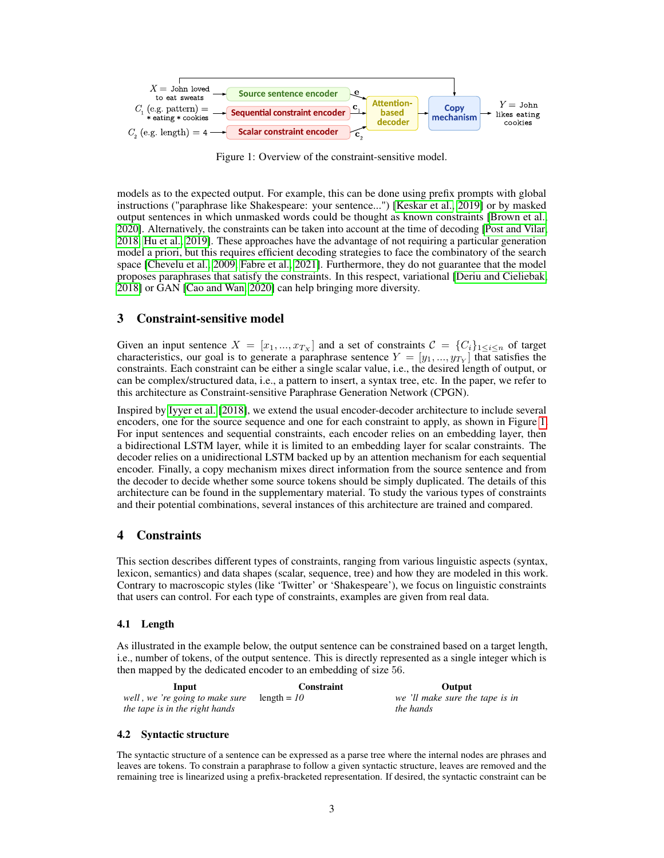<span id="page-2-2"></span>

Figure 1: Overview of the constraint-sensitive model.

models as to the expected output. For example, this can be done using prefix prompts with global instructions ("paraphrase like Shakespeare: your sentence...") [\[Keskar et al., 2019\]](#page-9-4) or by masked output sentences in which unmasked words could be thought as known constraints [\[Brown et al.,](#page-10-4) [2020\]](#page-10-4). Alternatively, the constraints can be taken into account at the time of decoding [\[Post and Vilar,](#page-10-5) [2018,](#page-10-5) [Hu et al., 2019\]](#page-10-6). These approaches have the advantage of not requiring a particular generation model a priori, but this requires efficient decoding strategies to face the combinatory of the search space [\[Chevelu et al., 2009,](#page-10-7) [Fabre et al., 2021\]](#page-10-8). Furthermore, they do not guarantee that the model proposes paraphrases that satisfy the constraints. In this respect, variational [\[Deriu and Cieliebak,](#page-10-9) [2018\]](#page-10-9) or GAN [\[Cao and Wan, 2020\]](#page-10-10) can help bringing more diversity.

## <span id="page-2-0"></span>3 Constraint-sensitive model

Given an input sentence  $X = [x_1, ..., x_{T_X}]$  and a set of constraints  $C = \{C_i\}_{1 \le i \le n}$  of target characteristics, our goal is to generate a paraphrase sentence  $Y = [y_1, ..., y_{T_Y}]$  that satisfies the constraints. Each constraint can be either a single scalar value, i.e., the desired length of output, or can be complex/structured data, i.e., a pattern to insert, a syntax tree, etc. In the paper, we refer to this architecture as Constraint-sensitive Paraphrase Generation Network (CPGN).

Inspired by [Iyyer et al.](#page-9-1) [\[2018\]](#page-9-1), we extend the usual encoder-decoder architecture to include several encoders, one for the source sequence and one for each constraint to apply, as shown in Figure [1.](#page-2-2) For input sentences and sequential constraints, each encoder relies on an embedding layer, then a bidirectional LSTM layer, while it is limited to an embedding layer for scalar constraints. The decoder relies on a unidirectional LSTM backed up by an attention mechanism for each sequential encoder. Finally, a copy mechanism mixes direct information from the source sentence and from the decoder to decide whether some source tokens should be simply duplicated. The details of this architecture can be found in the supplementary material. To study the various types of constraints and their potential combinations, several instances of this architecture are trained and compared.

# <span id="page-2-1"></span>4 Constraints

This section describes different types of constraints, ranging from various linguistic aspects (syntax, lexicon, semantics) and data shapes (scalar, sequence, tree) and how they are modeled in this work. Contrary to macroscopic styles (like 'Twitter' or 'Shakespeare'), we focus on linguistic constraints that users can control. For each type of constraints, examples are given from real data.

### 4.1 Length

As illustrated in the example below, the output sentence can be constrained based on a target length, i.e., number of tokens, of the output sentence. This is directly represented as a single integer which is then mapped by the dedicated encoder to an embedding of size 56.

| Input                           | Constraint    | Output                          |
|---------------------------------|---------------|---------------------------------|
| well, we 're going to make sure | length = $10$ | we 'll make sure the tape is in |
| the tape is in the right hands  |               | <i>the hands</i>                |

#### 4.2 Syntactic structure

The syntactic structure of a sentence can be expressed as a parse tree where the internal nodes are phrases and leaves are tokens. To constrain a paraphrase to follow a given syntactic structure, leaves are removed and the remaining tree is linearized using a prefix-bracketed representation. If desired, the syntactic constraint can be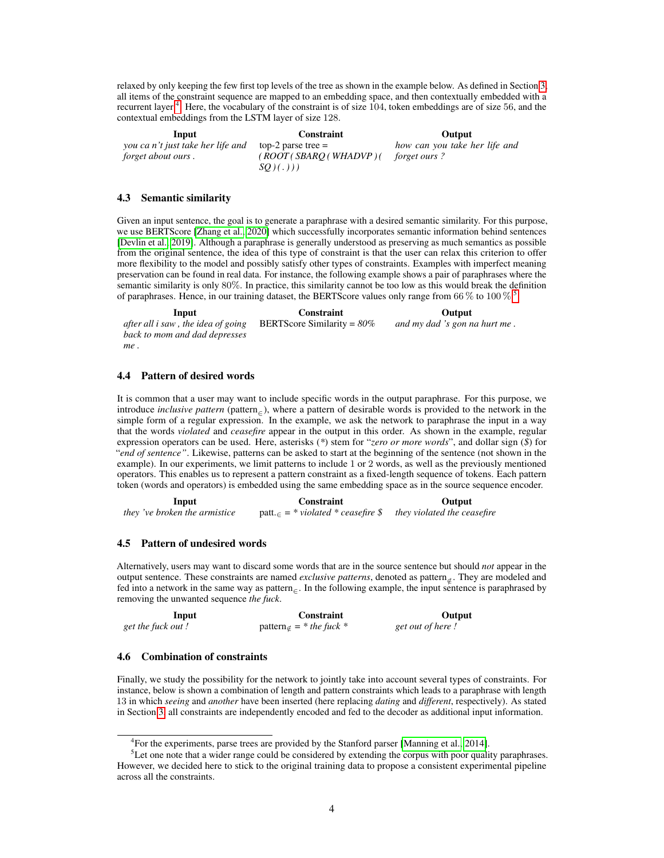relaxed by only keeping the few first top levels of the tree as shown in the example below. As defined in Section [3,](#page-2-0) all items of the constraint sequence are mapped to an embedding space, and then contextually embedded with a recurrent layer <sup>[4](#page-3-0)</sup>. Here, the vocabulary of the constraint is of size 104, token embeddings are of size 56, and the contextual embeddings from the LSTM layer of size 128.

Input Constraint Output *you ca n't just take her life and forget about ours .* top-2 parse tree  $=$ *( ROOT ( SBARQ ( WHADVP ) ( forget ours ? SQ ) ( . ) ) ) how can you take her life and*

#### 4.3 Semantic similarity

Given an input sentence, the goal is to generate a paraphrase with a desired semantic similarity. For this purpose, we use BERTScore [\[Zhang et al., 2020\]](#page-10-11) which successfully incorporates semantic information behind sentences [\[Devlin et al., 2019\]](#page-10-12). Although a paraphrase is generally understood as preserving as much semantics as possible from the original sentence, the idea of this type of constraint is that the user can relax this criterion to offer more flexibility to the model and possibly satisfy other types of constraints. Examples with imperfect meaning preservation can be found in real data. For instance, the following example shows a pair of paraphrases where the semantic similarity is only 80%. In practice, this similarity cannot be too low as this would break the definition of paraphrases. Hence, in our training dataset, the BERTScore values only range from 66  $\%$  to 100  $\%$ .

**Input Constraint Constraint Output Output**  $\alpha$ , the idea of going **BERTScore Similarity** = 80% and my dad 's gon n *after all i saw , the idea of going back to mom and dad depresses me .* and my dad 's gon na hurt me.

# 4.4 Pattern of desired words

It is common that a user may want to include specific words in the output paraphrase. For this purpose, we introduce *inclusive pattern* (pattern<sub> $∈$ </sub>), where a pattern of desirable words is provided to the network in the simple form of a regular expression. In the example, we ask the network to paraphrase the input in a way that the words *violated* and *ceasefire* appear in the output in this order. As shown in the example, regular expression operators can be used. Here, asterisks (*\**) stem for "*zero or more words*", and dollar sign (*\$*) for "*end of sentence"*. Likewise, patterns can be asked to start at the beginning of the sentence (not shown in the example). In our experiments, we limit patterns to include 1 or 2 words, as well as the previously mentioned operators. This enables us to represent a pattern constraint as a fixed-length sequence of tokens. Each pattern token (words and operators) is embedded using the same embedding space as in the source sequence encoder.

| Input                         | <b>Constraint</b>                                     | Output                      |  |
|-------------------------------|-------------------------------------------------------|-----------------------------|--|
| they 've broken the armistice | $\text{patt.} = * \text{violated} * \text{ceasefire}$ | they violated the ceasefire |  |

#### 4.5 Pattern of undesired words

Alternatively, users may want to discard some words that are in the source sentence but should *not* appear in the output sentence. These constraints are named *exclusive patterns*, denoted as pattern<sub>∉</sub>. They are modeled and fed into a network in the same way as pattern<sub>∈</sub>. In the following example, the input sentence is paraphrased by removing the unwanted sequence *the fuck*.

| Input              | Constraint                    | Output           |
|--------------------|-------------------------------|------------------|
| get the fuck out ! | pattern $\neq$ = * the fuck * | get out of here! |

#### 4.6 Combination of constraints

Finally, we study the possibility for the network to jointly take into account several types of constraints. For instance, below is shown a combination of length and pattern constraints which leads to a paraphrase with length 13 in which *seeing* and *another* have been inserted (here replacing *dating* and *different*, respectively). As stated in Section [3,](#page-2-0) all constraints are independently encoded and fed to the decoder as additional input information.

<span id="page-3-1"></span><span id="page-3-0"></span><sup>&</sup>lt;sup>4</sup> For the experiments, parse trees are provided by the Stanford parser [\[Manning et al., 2014\]](#page-10-13).

 $<sup>5</sup>$ Let one note that a wider range could be considered by extending the corpus with poor quality paraphrases.</sup> However, we decided here to stick to the original training data to propose a consistent experimental pipeline across all the constraints.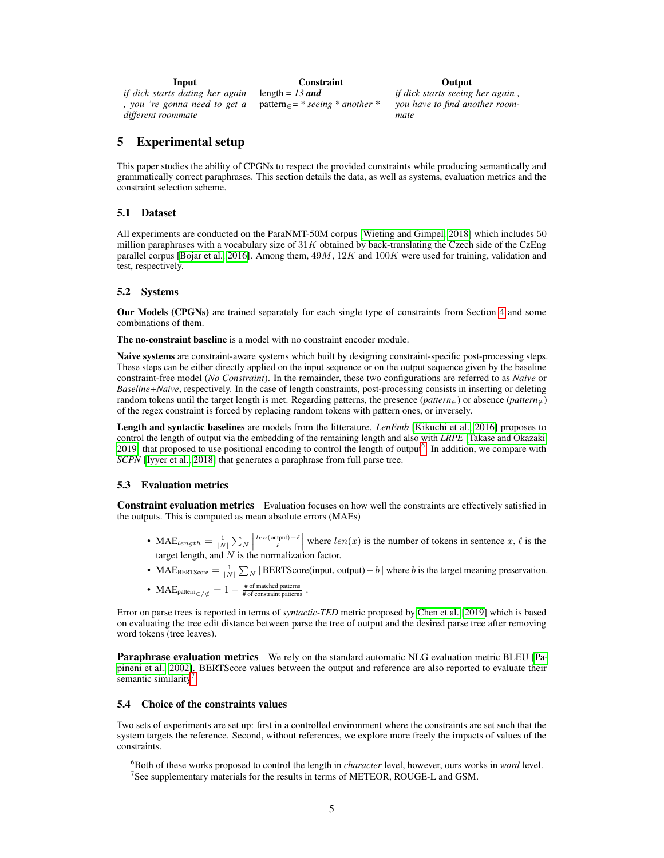| Input                           | <b>Constraint</b>                      | Output                |
|---------------------------------|----------------------------------------|-----------------------|
| if dick starts dating her again | length = $13$ and                      | if dick starts seeing |
| , you 're gonna need to get a   | $pattern_{\in}$ = * seeing * another * | you have to find an   |
| different roommate              |                                        | mate                  |

# *if dick starts seeing her again ,* ave to find another room-

# <span id="page-4-0"></span>5 Experimental setup

This paper studies the ability of CPGNs to respect the provided constraints while producing semantically and grammatically correct paraphrases. This section details the data, as well as systems, evaluation metrics and the constraint selection scheme.

### 5.1 Dataset

All experiments are conducted on the ParaNMT-50M corpus [\[Wieting and Gimpel, 2018\]](#page-10-14) which includes 50 million paraphrases with a vocabulary size of  $31K$  obtained by back-translating the Czech side of the CzEng parallel corpus [\[Bojar et al., 2016\]](#page-10-15). Among them,  $49M$ ,  $12K$  and  $100K$  were used for training, validation and test, respectively.

### 5.2 Systems

Our Models (CPGNs) are trained separately for each single type of constraints from Section [4](#page-2-1) and some combinations of them.

The no-constraint baseline is a model with no constraint encoder module.

Naive systems are constraint-aware systems which built by designing constraint-specific post-processing steps. These steps can be either directly applied on the input sequence or on the output sequence given by the baseline constraint-free model (*No Constraint*). In the remainder, these two configurations are referred to as *Naive* or *Baseline+Naive*, respectively. In the case of length constraints, post-processing consists in inserting or deleting random tokens until the target length is met. Regarding patterns, the presence (*pattern*∈) or absence (*pattern*<sup>∈</sup>/) of the regex constraint is forced by replacing random tokens with pattern ones, or inversely.

Length and syntactic baselines are models from the litterature. *LenEmb* [\[Kikuchi et al., 2016\]](#page-9-5) proposes to control the length of output via the embedding of the remaining length and also with *LRPE* [\[Takase and Okazaki,](#page-10-16) [2019\]](#page-10-16) that proposed to use positional encoding to control the length of output<sup>[6](#page-4-1)</sup>. In addition, we compare with *SCPN* [\[Iyyer et al., 2018\]](#page-9-1) that generates a paraphrase from full parse tree.

#### 5.3 Evaluation metrics

Constraint evaluation metrics Evaluation focuses on how well the constraints are effectively satisfied in the outputs. This is computed as mean absolute errors (MAEs)

- MAE<sub>length</sub> =  $\frac{1}{|N|} \sum_{N}$  $\frac{len(\text{output}) - \ell}{\ell}$  where  $len(x)$  is the number of tokens in sentence x,  $\ell$  is the target length, and  $N$  is the normalization factor.
- MAE<sub>BERTScore</sub> =  $\frac{1}{|N|} \sum_{N} |BERTScore(input, output) b|$  where b is the target meaning preservation.
- MAE<sub>pattern</sub> $\epsilon_{/\notin} = 1 \frac{H \text{ of matched patterns}}{H \text{ of constraint patterns}}$ .

Error on parse trees is reported in terms of *syntactic-TED* metric proposed by [Chen et al.](#page-11-0) [\[2019\]](#page-11-0) which is based on evaluating the tree edit distance between parse the tree of output and the desired parse tree after removing word tokens (tree leaves).

Paraphrase evaluation metrics We rely on the standard automatic NLG evaluation metric BLEU [\[Pa](#page-11-1)[pineni et al., 2002\]](#page-11-1). BERTScore values between the output and reference are also reported to evaluate their semantic similarity<sup>[7](#page-4-2)</sup>.

#### <span id="page-4-3"></span>5.4 Choice of the constraints values

Two sets of experiments are set up: first in a controlled environment where the constraints are set such that the system targets the reference. Second, without references, we explore more freely the impacts of values of the constraints.

<span id="page-4-2"></span><span id="page-4-1"></span><sup>6</sup>Both of these works proposed to control the length in *character* level, however, ours works in *word* level.  $7$ See supplementary materials for the results in terms of METEOR, ROUGE-L and GSM.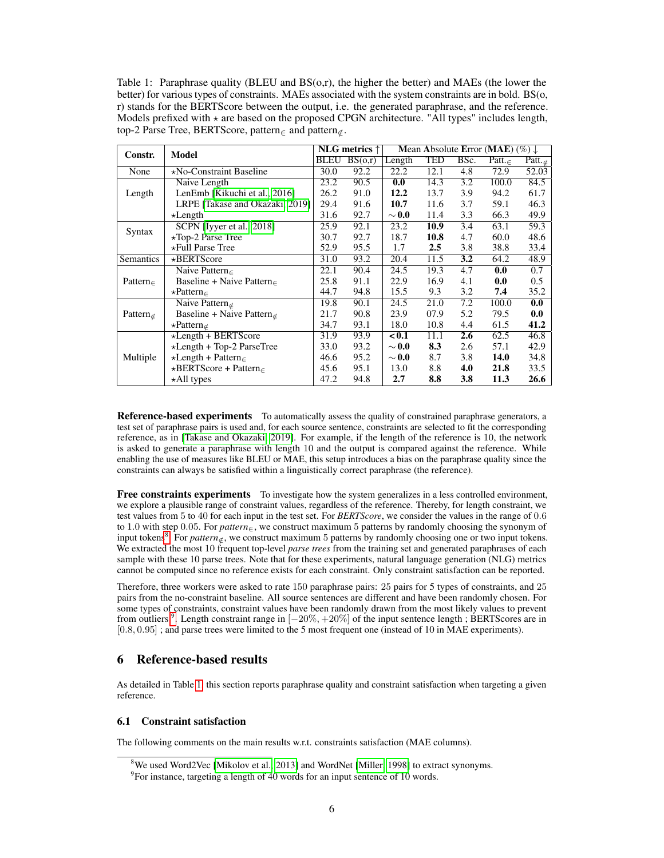<span id="page-5-3"></span>Table 1: Paraphrase quality (BLEU and  $BS(0,r)$ , the higher the better) and MAEs (the lower the better) for various types of constraints. MAEs associated with the system constraints are in bold. BS(o, r) stands for the BERTScore between the output, i.e. the generated paraphrase, and the reference. Models prefixed with  $\star$  are based on the proposed CPGN architecture. "All types" includes length, top-2 Parse Tree, BERTScore, pattern<sub>∈</sub> and pattern<sub>∉</sub>.

| Constr.        | Model                                 | NLG metrics $\uparrow$ |         | Mean Absolute Error (MAE) $(\%) \downarrow$ |            |      |             |                           |
|----------------|---------------------------------------|------------------------|---------|---------------------------------------------|------------|------|-------------|---------------------------|
|                | <b>BLEU</b>                           |                        | BS(o,r) | Length                                      | <b>TED</b> | BSc. | Patt. $\in$ | Patt. $\epsilon$          |
| None           | *No-Constraint Baseline               | 30.0                   | 92.2    | 22.2                                        | 12.1       | 4.8  | 72.9        | 52.03                     |
|                | Naive Length                          | 23.2                   | 90.5    | 0.0                                         | 14.3       | 3.2  | 100.0       | 84.5                      |
| Length         | LenEmb [Kikuchi et al., 2016]         | 26.2                   | 91.0    | 12.2                                        | 13.7       | 3.9  | 94.2        | 61.7                      |
|                | LRPE [Takase and Okazaki, 2019]       | 29.4                   | 91.6    | 10.7                                        | 11.6       | 3.7  | 59.1        | 46.3                      |
|                | $\star$ Length                        | 31.6                   | 92.7    | $\sim$ 0.0                                  | 11.4       | 3.3  | 66.3        | 49.9                      |
|                | SCPN [Iyyer et al., 2018]             | 25.9                   | 92.1    | 23.2                                        | 10.9       | 3.4  | 63.1        | 59.3                      |
| Syntax         | *Top-2 Parse Tree                     | 30.7                   | 92.7    | 18.7                                        | 10.8       | 4.7  | 60.0        | 48.6                      |
|                | *Full Parse Tree                      | 52.9                   | 95.5    | 1.7                                         | 2.5        | 3.8  | 38.8        | 33.4                      |
| Semantics      | *BERTScore                            | 31.0                   | 93.2    | 20.4                                        | 11.5       | 3.2  | 64.2        | 48.9                      |
|                | Naive Pattern $\epsilon$              | 22.1                   | 90.4    | 24.5                                        | 19.3       | 4.7  | 0.0         | 0.7                       |
| Pattern $\in$  | Baseline + Naive Pattern $\in$        | 25.8                   | 91.1    | 22.9                                        | 16.9       | 4.1  | 0.0         | 0.5                       |
|                | $\star$ Pattern $\in$                 | 44.7                   | 94.8    | 15.5                                        | 9.3        | 3.2  | 7.4         | 35.2                      |
|                | Naive Pattern $_{\notin}$             | 19.8                   | 90.1    | 24.5                                        | 21.0       | 7.2  | 100.0       | $\overline{\mathbf{0.0}}$ |
| Pattern $\neq$ | Baseline + Naive Pattern <sub>∉</sub> | 21.7                   | 90.8    | 23.9                                        | 07.9       | 5.2  | 79.5        | 0.0                       |
|                | $\star$ Pattern <sub>⊄</sub>          | 34.7                   | 93.1    | 18.0                                        | 10.8       | 4.4  | 61.5        | 41.2                      |
|                | $\star$ Length + BERTScore            | 31.9                   | 93.9    | < 0.1                                       | 11.1       | 2.6  | 62.5        | 46.8                      |
|                | $\star$ Length + Top-2 ParseTree      | 33.0                   | 93.2    | $\sim$ 0.0                                  | 8.3        | 2.6  | 57.1        | 42.9                      |
| Multiple       | $\star$ Length + Pattern $\in$        | 46.6                   | 95.2    | $\sim$ 0.0                                  | 8.7        | 3.8  | 14.0        | 34.8                      |
|                | $\star$ BERTScore + Pattern $\in$     | 45.6                   | 95.1    | 13.0                                        | 8.8        | 4.0  | 21.8        | 33.5                      |
|                | *All types                            | 47.2                   | 94.8    | 2.7                                         | 8.8        | 3.8  | 11.3        | 26.6                      |

Reference-based experiments To automatically assess the quality of constrained paraphrase generators, a test set of paraphrase pairs is used and, for each source sentence, constraints are selected to fit the corresponding reference, as in [\[Takase and Okazaki, 2019\]](#page-10-16). For example, if the length of the reference is 10, the network is asked to generate a paraphrase with length 10 and the output is compared against the reference. While enabling the use of measures like BLEU or MAE, this setup introduces a bias on the paraphrase quality since the constraints can always be satisfied within a linguistically correct paraphrase (the reference).

Free constraints experiments To investigate how the system generalizes in a less controlled environment, we explore a plausible range of constraint values, regardless of the reference. Thereby, for length constraint, we test values from 5 to 40 for each input in the test set. For *BERTScore*, we consider the values in the range of 0.6 to 1.0 with step 0.05. For *pattern*∈, we construct maximum 5 patterns by randomly choosing the synonym of input tokens<sup>[8](#page-5-1)</sup>. For *pattern*∉, we construct maximum 5 patterns by randomly choosing one or two input tokens. We extracted the most 10 frequent top-level *parse trees* from the training set and generated paraphrases of each sample with these 10 parse trees. Note that for these experiments, natural language generation (NLG) metrics cannot be computed since no reference exists for each constraint. Only constraint satisfaction can be reported.

Therefore, three workers were asked to rate 150 paraphrase pairs: 25 pairs for 5 types of constraints, and 25 pairs from the no-constraint baseline. All source sentences are different and have been randomly chosen. For some types of constraints, constraint values have been randomly drawn from the most likely values to prevent from outliers<sup>[9](#page-5-2)</sup>. Length constraint range in  $[-20\%, +20\%]$  of the input sentence length ; BERTScores are in [0.8, 0.95] ; and parse trees were limited to the 5 most frequent one (instead of 10 in MAE experiments).

# <span id="page-5-0"></span>6 Reference-based results

As detailed in Table [1,](#page-5-3) this section reports paraphrase quality and constraint satisfaction when targeting a given reference.

## <span id="page-5-4"></span>6.1 Constraint satisfaction

The following comments on the main results w.r.t. constraints satisfaction (MAE columns).

<span id="page-5-1"></span><sup>&</sup>lt;sup>8</sup>We used Word2Vec [\[Mikolov et al., 2013\]](#page-11-2) and WordNet [\[Miller, 1998\]](#page-11-3) to extract synonyms.

<span id="page-5-2"></span> $9^9$ For instance, targeting a length of 40 words for an input sentence of 10 words.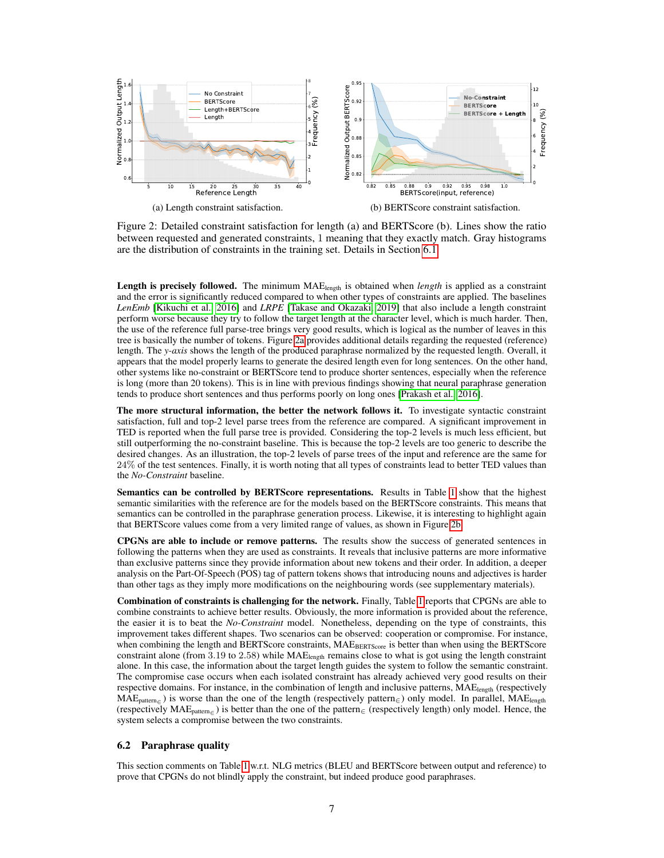<span id="page-6-0"></span>

Figure 2: Detailed constraint satisfaction for length (a) and BERTScore (b). Lines show the ratio between requested and generated constraints, 1 meaning that they exactly match. Gray histograms are the distribution of constraints in the training set. Details in Section [6.1.](#page-5-4)

Length is precisely followed. The minimum  $MAE<sub>length</sub>$  is obtained when *length* is applied as a constraint and the error is significantly reduced compared to when other types of constraints are applied. The baselines *LenEmb* [\[Kikuchi et al., 2016\]](#page-9-5) and *LRPE* [\[Takase and Okazaki, 2019\]](#page-10-16) that also include a length constraint perform worse because they try to follow the target length at the character level, which is much harder. Then, the use of the reference full parse-tree brings very good results, which is logical as the number of leaves in this tree is basically the number of tokens. Figure [2a](#page-6-0) provides additional details regarding the requested (reference) length. The *y-axis* shows the length of the produced paraphrase normalized by the requested length. Overall, it appears that the model properly learns to generate the desired length even for long sentences. On the other hand, other systems like no-constraint or BERTScore tend to produce shorter sentences, especially when the reference is long (more than 20 tokens). This is in line with previous findings showing that neural paraphrase generation tends to produce short sentences and thus performs poorly on long ones [\[Prakash et al., 2016\]](#page-11-4).

The more structural information, the better the network follows it. To investigate syntactic constraint satisfaction, full and top-2 level parse trees from the reference are compared. A significant improvement in TED is reported when the full parse tree is provided. Considering the top-2 levels is much less efficient, but still outperforming the no-constraint baseline. This is because the top-2 levels are too generic to describe the desired changes. As an illustration, the top-2 levels of parse trees of the input and reference are the same for 24% of the test sentences. Finally, it is worth noting that all types of constraints lead to better TED values than the *No-Constraint* baseline.

Semantics can be controlled by BERTScore representations. Results in Table [1](#page-5-3) show that the highest semantic similarities with the reference are for the models based on the BERTScore constraints. This means that semantics can be controlled in the paraphrase generation process. Likewise, it is interesting to highlight again that BERTScore values come from a very limited range of values, as shown in Figure [2b.](#page-6-0)

CPGNs are able to include or remove patterns. The results show the success of generated sentences in following the patterns when they are used as constraints. It reveals that inclusive patterns are more informative than exclusive patterns since they provide information about new tokens and their order. In addition, a deeper analysis on the Part-Of-Speech (POS) tag of pattern tokens shows that introducing nouns and adjectives is harder than other tags as they imply more modifications on the neighbouring words (see supplementary materials).

Combination of constraints is challenging for the network. Finally, Table [1](#page-5-3) reports that CPGNs are able to combine constraints to achieve better results. Obviously, the more information is provided about the reference, the easier it is to beat the *No-Constraint* model. Nonetheless, depending on the type of constraints, this improvement takes different shapes. Two scenarios can be observed: cooperation or compromise. For instance, when combining the length and BERTScore constraints,  $MAE<sub>BERTScore</sub>$  is better than when using the BERTScore constraint alone (from 3.19 to 2.58) while MAElength remains close to what is got using the length constraint alone. In this case, the information about the target length guides the system to follow the semantic constraint. The compromise case occurs when each isolated constraint has already achieved very good results on their respective domains. For instance, in the combination of length and inclusive patterns, MAE<sub>length</sub> (respectively  $MAE_{pattern_{\epsilon}}$ ) is worse than the one of the length (respectively pattern<sub>∈</sub>) only model. In parallel, MAE<sub>length</sub> (respectively MAEpattern<sup>∈</sup> ) is better than the one of the pattern<sup>∈</sup> (respectively length) only model. Hence, the system selects a compromise between the two constraints.

#### 6.2 Paraphrase quality

This section comments on Table [1](#page-5-3) w.r.t. NLG metrics (BLEU and BERTScore between output and reference) to prove that CPGNs do not blindly apply the constraint, but indeed produce good paraphrases.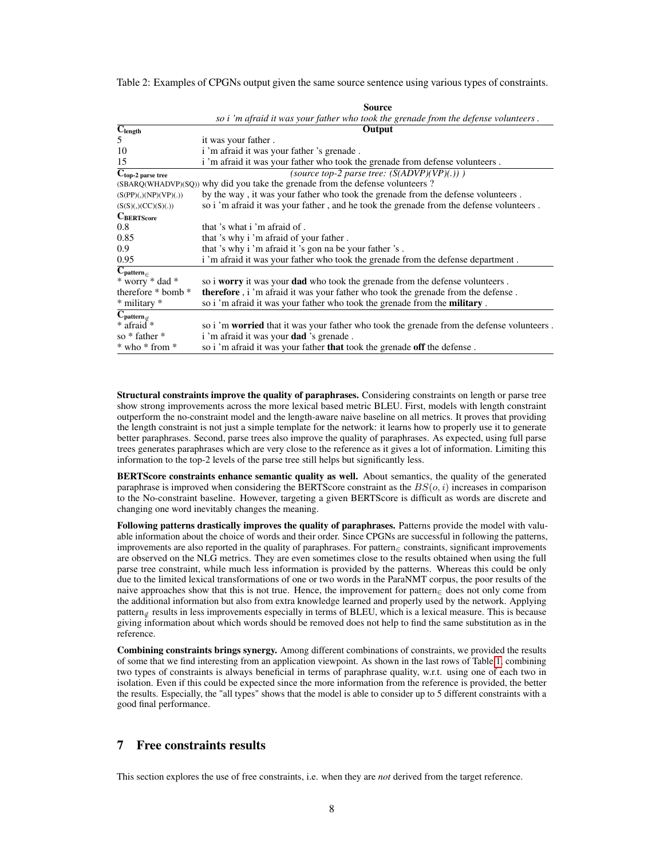<span id="page-7-1"></span>Table 2: Examples of CPGNs output given the same source sentence using various types of constraints.

|                                                     | Source                                                                                    |
|-----------------------------------------------------|-------------------------------------------------------------------------------------------|
|                                                     | so i 'm afraid it was your father who took the grenade from the defense volunteers.       |
| $\overline{\mathbf{C}}_{\text{length}}$             | Output                                                                                    |
| 5                                                   | it was your father.                                                                       |
| 10                                                  | i 'm afraid it was your father 's grenade.                                                |
| 15                                                  | i'm afraid it was your father who took the grenade from defense volunteers.               |
| $\overline{\mathbf{C}_{\text{top-2}} }$ parse tree  | (source top-2 parse tree: $(S(ADVP)(VP)(.)))$ )                                           |
| (SBARQ(WHADVP)(SQ))                                 | why did you take the grenade from the defense volunteers?                                 |
| (S(PP)(,)(NP)(VP)(.))                               | by the way, it was your father who took the grenade from the defense volunteers.          |
| (S(S)(,)(CC)(S)(.))                                 | so i 'm afraid it was your father, and he took the grenade from the defense volunteers.   |
| $C_{BERTScore}$                                     |                                                                                           |
| 0.8                                                 | that 's what i 'm afraid of.                                                              |
| 0.85                                                | that 's why i 'm afraid of your father.                                                   |
| 0.9                                                 | that 's why i 'm afraid it 's gon na be your father 's.                                   |
| 0.95                                                | i'm afraid it was your father who took the grenade from the defense department.           |
| $\overline{\mathbf{C}_{\text{pattern}}_{\in}}$      |                                                                                           |
| * worry * dad *                                     | so i worry it was your dad who took the grenade from the defense volunteers.              |
| therefore $*$ bomb $*$                              | <b>therefore</b> , i 'm afraid it was your father who took the grenade from the defense.  |
| * military *                                        | so i'm afraid it was your father who took the grenade from the <b>military</b> .          |
| $\overline{\mathbf{C}}_{\text{pattern}_{\notin E}}$ |                                                                                           |
| * afraid <sup>*</sup>                               | so i 'm worried that it was your father who took the grenade from the defense volunteers. |
| so * father *                                       | i 'm afraid it was your <b>dad</b> 's grenade.                                            |
| * who * from *                                      | so i'm afraid it was your father that took the grenade off the defense.                   |

Structural constraints improve the quality of paraphrases. Considering constraints on length or parse tree show strong improvements across the more lexical based metric BLEU. First, models with length constraint outperform the no-constraint model and the length-aware naive baseline on all metrics. It proves that providing the length constraint is not just a simple template for the network: it learns how to properly use it to generate better paraphrases. Second, parse trees also improve the quality of paraphrases. As expected, using full parse trees generates paraphrases which are very close to the reference as it gives a lot of information. Limiting this information to the top-2 levels of the parse tree still helps but significantly less.

BERTScore constraints enhance semantic quality as well. About semantics, the quality of the generated paraphrase is improved when considering the BERTScore constraint as the  $BS(o, i)$  increases in comparison to the No-constraint baseline. However, targeting a given BERTScore is difficult as words are discrete and changing one word inevitably changes the meaning.

Following patterns drastically improves the quality of paraphrases. Patterns provide the model with valuable information about the choice of words and their order. Since CPGNs are successful in following the patterns, improvements are also reported in the quality of paraphrases. For pattern<sup>∈</sup> constraints, significant improvements are observed on the NLG metrics. They are even sometimes close to the results obtained when using the full parse tree constraint, while much less information is provided by the patterns. Whereas this could be only due to the limited lexical transformations of one or two words in the ParaNMT corpus, the poor results of the naive approaches show that this is not true. Hence, the improvement for pattern∈ does not only come from the additional information but also from extra knowledge learned and properly used by the network. Applying pattern<sub>⊄</sub> results in less improvements especially in terms of BLEU, which is a lexical measure. This is because giving information about which words should be removed does not help to find the same substitution as in the reference.

Combining constraints brings synergy. Among different combinations of constraints, we provided the results of some that we find interesting from an application viewpoint. As shown in the last rows of Table [1,](#page-5-3) combining two types of constraints is always beneficial in terms of paraphrase quality, w.r.t. using one of each two in isolation. Even if this could be expected since the more information from the reference is provided, the better the results. Especially, the "all types" shows that the model is able to consider up to 5 different constraints with a good final performance.

# <span id="page-7-0"></span>7 Free constraints results

This section explores the use of free constraints, i.e. when they are *not* derived from the target reference.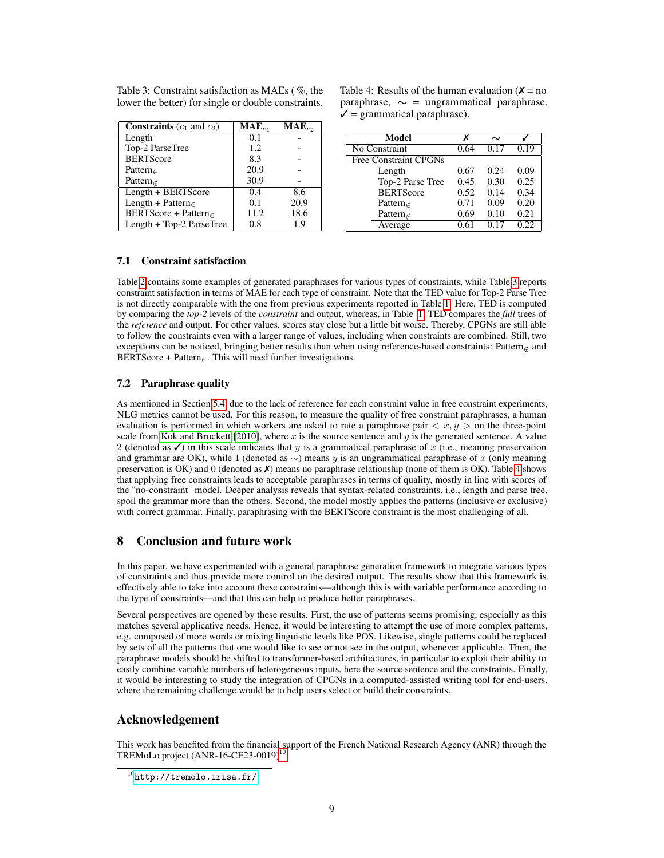| <b>Constraints</b> $(c_1 \text{ and } c_2)$ | $\mathbf{MAE}_{c_1}$ | $MAE_{c_2}$ |
|---------------------------------------------|----------------------|-------------|
| Length                                      | 0.1                  |             |
| Top-2 ParseTree                             | 1.2                  |             |
| <b>BERTScore</b>                            | 8.3                  |             |
| Pattern $\in$                               | 20.9                 |             |
| Pattern $\notin$                            | 30.9                 |             |
| Length + BERTScore                          | 0.4                  | 8.6         |
| Length + Pattern $\epsilon$                 | 0.1                  | 20.9        |
| BERTScore + Pattern                         | 11.2                 | 18.6        |
| Length + Top-2 ParseTree                    | 0.8                  | 1.9         |

<span id="page-8-0"></span>Table 3: Constraint satisfaction as MAEs ( %, the lower the better) for single or double constraints.

Table 4: Results of the human evaluation ( $\chi$  = no paraphrase,  $\sim$  = ungrammatical paraphrase,  $\checkmark$  = grammatical paraphrase).

| Model                        |      | $\sim$ |      |
|------------------------------|------|--------|------|
| No Constraint                | 0.64 | 0.17   | 0.19 |
| <b>Free Constraint CPGNs</b> |      |        |      |
| Length                       | 0.67 | 0.24   | 0.09 |
| Top-2 Parse Tree             | 0.45 | 0.30   | 0.25 |
| <b>BERTScore</b>             | 0.52 | 0.14   | 0.34 |
| Pattern $\in$                | 0.71 | 0.09   | 0.20 |
| Pattern $\notin$             | 0.69 | 0.10   | 0.21 |
| Average                      |      |        | 0.22 |

## 7.1 Constraint satisfaction

Table [2](#page-7-1) contains some examples of generated paraphrases for various types of constraints, while Table [3](#page-8-0) reports constraint satisfaction in terms of MAE for each type of constraint. Note that the TED value for Top-2 Parse Tree is not directly comparable with the one from previous experiments reported in Table [1.](#page-5-3) Here, TED is computed by comparing the *top-2* levels of the *constraint* and output, whereas, in Table [1,](#page-5-3) TED compares the *full* trees of the *reference* and output. For other values, scores stay close but a little bit worse. Thereby, CPGNs are still able to follow the constraints even with a larger range of values, including when constraints are combined. Still, two exceptions can be noticed, bringing better results than when using reference-based constraints: Pattern $_{\sigma}$  and BERTScore + Pattern $\epsilon$ . This will need further investigations.

#### <span id="page-8-2"></span>7.2 Paraphrase quality

As mentioned in Section [5.4,](#page-4-3) due to the lack of reference for each constraint value in free constraint experiments, NLG metrics cannot be used. For this reason, to measure the quality of free constraint paraphrases, a human evaluation is performed in which workers are asked to rate a paraphrase pair  $\langle x, y \rangle$  on the three-point scale from [Kok and Brockett](#page-11-5) [\[2010\]](#page-11-5), where x is the source sentence and y is the generated sentence. A value 2 (denoted as  $\checkmark$ ) in this scale indicates that y is a grammatical paraphrase of x (i.e., meaning preservation and grammar are OK), while 1 (denoted as  $\sim$ ) means y is an ungrammatical paraphrase of x (only meaning preservation is OK) and 0 (denoted as  $\chi$ ) means no paraphrase relationship (none of them is OK). Table [4](#page-8-0) shows that applying free constraints leads to acceptable paraphrases in terms of quality, mostly in line with scores of the "no-constraint" model. Deeper analysis reveals that syntax-related constraints, i.e., length and parse tree, spoil the grammar more than the others. Second, the model mostly applies the patterns (inclusive or exclusive) with correct grammar. Finally, paraphrasing with the BERTScore constraint is the most challenging of all.

# 8 Conclusion and future work

In this paper, we have experimented with a general paraphrase generation framework to integrate various types of constraints and thus provide more control on the desired output. The results show that this framework is effectively able to take into account these constraints—although this is with variable performance according to the type of constraints—and that this can help to produce better paraphrases.

Several perspectives are opened by these results. First, the use of patterns seems promising, especially as this matches several applicative needs. Hence, it would be interesting to attempt the use of more complex patterns, e.g. composed of more words or mixing linguistic levels like POS. Likewise, single patterns could be replaced by sets of all the patterns that one would like to see or not see in the output, whenever applicable. Then, the paraphrase models should be shifted to transformer-based architectures, in particular to exploit their ability to easily combine variable numbers of heterogeneous inputs, here the source sentence and the constraints. Finally, it would be interesting to study the integration of CPGNs in a computed-assisted writing tool for end-users, where the remaining challenge would be to help users select or build their constraints.

# Acknowledgement

This work has benefited from the financial support of the French National Research Agency (ANR) through the TREMoLo project  $(ANR-16-CE23-0019)^{10}$  $(ANR-16-CE23-0019)^{10}$  $(ANR-16-CE23-0019)^{10}$ .

<span id="page-8-1"></span> $^{10}$ <http://tremolo.irisa.fr/>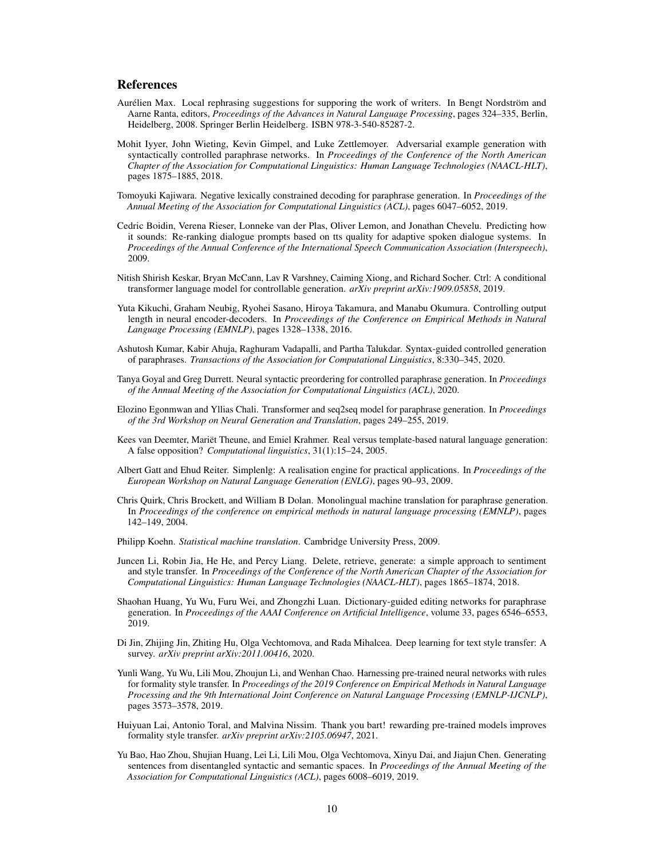### References

- <span id="page-9-0"></span>Aurélien Max. Local rephrasing suggestions for supporing the work of writers. In Bengt Nordström and Aarne Ranta, editors, *Proceedings of the Advances in Natural Language Processing*, pages 324–335, Berlin, Heidelberg, 2008. Springer Berlin Heidelberg. ISBN 978-3-540-85287-2.
- <span id="page-9-1"></span>Mohit Iyyer, John Wieting, Kevin Gimpel, and Luke Zettlemoyer. Adversarial example generation with syntactically controlled paraphrase networks. In *Proceedings of the Conference of the North American Chapter of the Association for Computational Linguistics: Human Language Technologies (NAACL-HLT)*, pages 1875–1885, 2018.
- <span id="page-9-2"></span>Tomoyuki Kajiwara. Negative lexically constrained decoding for paraphrase generation. In *Proceedings of the Annual Meeting of the Association for Computational Linguistics (ACL)*, pages 6047–6052, 2019.
- <span id="page-9-3"></span>Cedric Boidin, Verena Rieser, Lonneke van der Plas, Oliver Lemon, and Jonathan Chevelu. Predicting how it sounds: Re-ranking dialogue prompts based on tts quality for adaptive spoken dialogue systems. In *Proceedings of the Annual Conference of the International Speech Communication Association (Interspeech)*, 2009.
- <span id="page-9-4"></span>Nitish Shirish Keskar, Bryan McCann, Lav R Varshney, Caiming Xiong, and Richard Socher. Ctrl: A conditional transformer language model for controllable generation. *arXiv preprint arXiv:1909.05858*, 2019.
- <span id="page-9-5"></span>Yuta Kikuchi, Graham Neubig, Ryohei Sasano, Hiroya Takamura, and Manabu Okumura. Controlling output length in neural encoder-decoders. In *Proceedings of the Conference on Empirical Methods in Natural Language Processing (EMNLP)*, pages 1328–1338, 2016.
- <span id="page-9-6"></span>Ashutosh Kumar, Kabir Ahuja, Raghuram Vadapalli, and Partha Talukdar. Syntax-guided controlled generation of paraphrases. *Transactions of the Association for Computational Linguistics*, 8:330–345, 2020.
- <span id="page-9-7"></span>Tanya Goyal and Greg Durrett. Neural syntactic preordering for controlled paraphrase generation. In *Proceedings of the Annual Meeting of the Association for Computational Linguistics (ACL)*, 2020.
- <span id="page-9-18"></span>Elozino Egonmwan and Yllias Chali. Transformer and seq2seq model for paraphrase generation. In *Proceedings of the 3rd Workshop on Neural Generation and Translation*, pages 249–255, 2019.
- <span id="page-9-8"></span>Kees van Deemter, Mariët Theune, and Emiel Krahmer. Real versus template-based natural language generation: A false opposition? *Computational linguistics*, 31(1):15–24, 2005.
- <span id="page-9-9"></span>Albert Gatt and Ehud Reiter. Simplenlg: A realisation engine for practical applications. In *Proceedings of the European Workshop on Natural Language Generation (ENLG)*, pages 90–93, 2009.
- <span id="page-9-10"></span>Chris Quirk, Chris Brockett, and William B Dolan. Monolingual machine translation for paraphrase generation. In *Proceedings of the conference on empirical methods in natural language processing (EMNLP)*, pages 142–149, 2004.
- <span id="page-9-11"></span>Philipp Koehn. *Statistical machine translation*. Cambridge University Press, 2009.
- <span id="page-9-12"></span>Juncen Li, Robin Jia, He He, and Percy Liang. Delete, retrieve, generate: a simple approach to sentiment and style transfer. In *Proceedings of the Conference of the North American Chapter of the Association for Computational Linguistics: Human Language Technologies (NAACL-HLT)*, pages 1865–1874, 2018.
- <span id="page-9-13"></span>Shaohan Huang, Yu Wu, Furu Wei, and Zhongzhi Luan. Dictionary-guided editing networks for paraphrase generation. In *Proceedings of the AAAI Conference on Artificial Intelligence*, volume 33, pages 6546–6553, 2019.
- <span id="page-9-14"></span>Di Jin, Zhijing Jin, Zhiting Hu, Olga Vechtomova, and Rada Mihalcea. Deep learning for text style transfer: A survey. *arXiv preprint arXiv:2011.00416*, 2020.
- <span id="page-9-15"></span>Yunli Wang, Yu Wu, Lili Mou, Zhoujun Li, and Wenhan Chao. Harnessing pre-trained neural networks with rules for formality style transfer. In *Proceedings of the 2019 Conference on Empirical Methods in Natural Language Processing and the 9th International Joint Conference on Natural Language Processing (EMNLP-IJCNLP)*, pages 3573–3578, 2019.
- <span id="page-9-16"></span>Huiyuan Lai, Antonio Toral, and Malvina Nissim. Thank you bart! rewarding pre-trained models improves formality style transfer. *arXiv preprint arXiv:2105.06947*, 2021.
- <span id="page-9-17"></span>Yu Bao, Hao Zhou, Shujian Huang, Lei Li, Lili Mou, Olga Vechtomova, Xinyu Dai, and Jiajun Chen. Generating sentences from disentangled syntactic and semantic spaces. In *Proceedings of the Annual Meeting of the Association for Computational Linguistics (ACL)*, pages 6008–6019, 2019.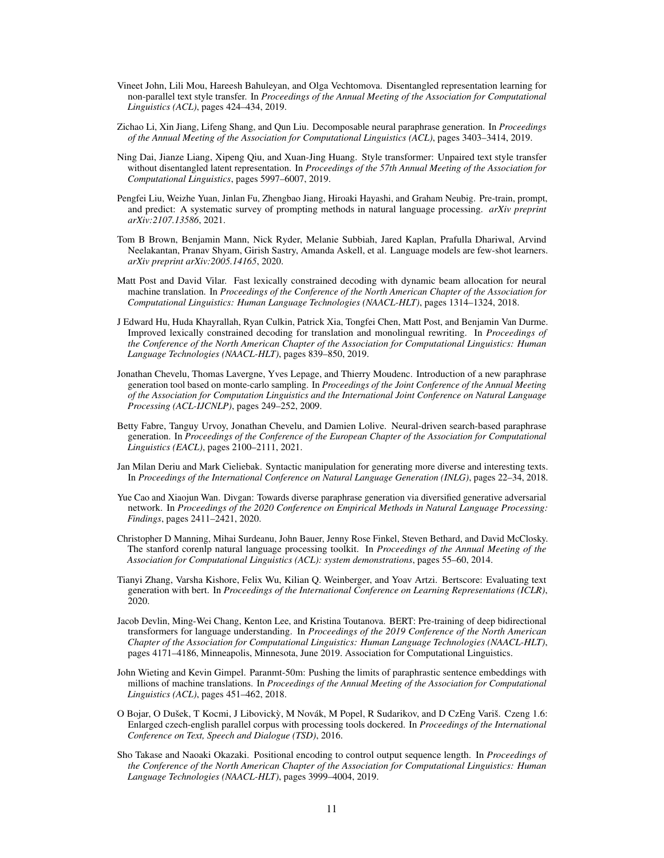- <span id="page-10-0"></span>Vineet John, Lili Mou, Hareesh Bahuleyan, and Olga Vechtomova. Disentangled representation learning for non-parallel text style transfer. In *Proceedings of the Annual Meeting of the Association for Computational Linguistics (ACL)*, pages 424–434, 2019.
- <span id="page-10-1"></span>Zichao Li, Xin Jiang, Lifeng Shang, and Qun Liu. Decomposable neural paraphrase generation. In *Proceedings of the Annual Meeting of the Association for Computational Linguistics (ACL)*, pages 3403–3414, 2019.
- <span id="page-10-2"></span>Ning Dai, Jianze Liang, Xipeng Qiu, and Xuan-Jing Huang. Style transformer: Unpaired text style transfer without disentangled latent representation. In *Proceedings of the 57th Annual Meeting of the Association for Computational Linguistics*, pages 5997–6007, 2019.
- <span id="page-10-3"></span>Pengfei Liu, Weizhe Yuan, Jinlan Fu, Zhengbao Jiang, Hiroaki Hayashi, and Graham Neubig. Pre-train, prompt, and predict: A systematic survey of prompting methods in natural language processing. *arXiv preprint arXiv:2107.13586*, 2021.
- <span id="page-10-4"></span>Tom B Brown, Benjamin Mann, Nick Ryder, Melanie Subbiah, Jared Kaplan, Prafulla Dhariwal, Arvind Neelakantan, Pranav Shyam, Girish Sastry, Amanda Askell, et al. Language models are few-shot learners. *arXiv preprint arXiv:2005.14165*, 2020.
- <span id="page-10-5"></span>Matt Post and David Vilar. Fast lexically constrained decoding with dynamic beam allocation for neural machine translation. In *Proceedings of the Conference of the North American Chapter of the Association for Computational Linguistics: Human Language Technologies (NAACL-HLT)*, pages 1314–1324, 2018.
- <span id="page-10-6"></span>J Edward Hu, Huda Khayrallah, Ryan Culkin, Patrick Xia, Tongfei Chen, Matt Post, and Benjamin Van Durme. Improved lexically constrained decoding for translation and monolingual rewriting. In *Proceedings of the Conference of the North American Chapter of the Association for Computational Linguistics: Human Language Technologies (NAACL-HLT)*, pages 839–850, 2019.
- <span id="page-10-7"></span>Jonathan Chevelu, Thomas Lavergne, Yves Lepage, and Thierry Moudenc. Introduction of a new paraphrase generation tool based on monte-carlo sampling. In *Proceedings of the Joint Conference of the Annual Meeting of the Association for Computation Linguistics and the International Joint Conference on Natural Language Processing (ACL-IJCNLP)*, pages 249–252, 2009.
- <span id="page-10-8"></span>Betty Fabre, Tanguy Urvoy, Jonathan Chevelu, and Damien Lolive. Neural-driven search-based paraphrase generation. In *Proceedings of the Conference of the European Chapter of the Association for Computational Linguistics (EACL)*, pages 2100–2111, 2021.
- <span id="page-10-9"></span>Jan Milan Deriu and Mark Cieliebak. Syntactic manipulation for generating more diverse and interesting texts. In *Proceedings of the International Conference on Natural Language Generation (INLG)*, pages 22–34, 2018.
- <span id="page-10-10"></span>Yue Cao and Xiaojun Wan. Divgan: Towards diverse paraphrase generation via diversified generative adversarial network. In *Proceedings of the 2020 Conference on Empirical Methods in Natural Language Processing: Findings*, pages 2411–2421, 2020.
- <span id="page-10-13"></span>Christopher D Manning, Mihai Surdeanu, John Bauer, Jenny Rose Finkel, Steven Bethard, and David McClosky. The stanford corenlp natural language processing toolkit. In *Proceedings of the Annual Meeting of the Association for Computational Linguistics (ACL): system demonstrations*, pages 55–60, 2014.
- <span id="page-10-11"></span>Tianyi Zhang, Varsha Kishore, Felix Wu, Kilian Q. Weinberger, and Yoav Artzi. Bertscore: Evaluating text generation with bert. In *Proceedings of the International Conference on Learning Representations (ICLR)*, 2020.
- <span id="page-10-12"></span>Jacob Devlin, Ming-Wei Chang, Kenton Lee, and Kristina Toutanova. BERT: Pre-training of deep bidirectional transformers for language understanding. In *Proceedings of the 2019 Conference of the North American Chapter of the Association for Computational Linguistics: Human Language Technologies (NAACL-HLT)*, pages 4171–4186, Minneapolis, Minnesota, June 2019. Association for Computational Linguistics.
- <span id="page-10-14"></span>John Wieting and Kevin Gimpel. Paranmt-50m: Pushing the limits of paraphrastic sentence embeddings with millions of machine translations. In *Proceedings of the Annual Meeting of the Association for Computational Linguistics (ACL)*, pages 451–462, 2018.
- <span id="page-10-15"></span>O Bojar, O Dušek, T Kocmi, J Libovicky, M Novák, M Popel, R Sudarikov, and D CzEng Variš. Czeng 1.6: ` Enlarged czech-english parallel corpus with processing tools dockered. In *Proceedings of the International Conference on Text, Speech and Dialogue (TSD)*, 2016.
- <span id="page-10-16"></span>Sho Takase and Naoaki Okazaki. Positional encoding to control output sequence length. In *Proceedings of the Conference of the North American Chapter of the Association for Computational Linguistics: Human Language Technologies (NAACL-HLT)*, pages 3999–4004, 2019.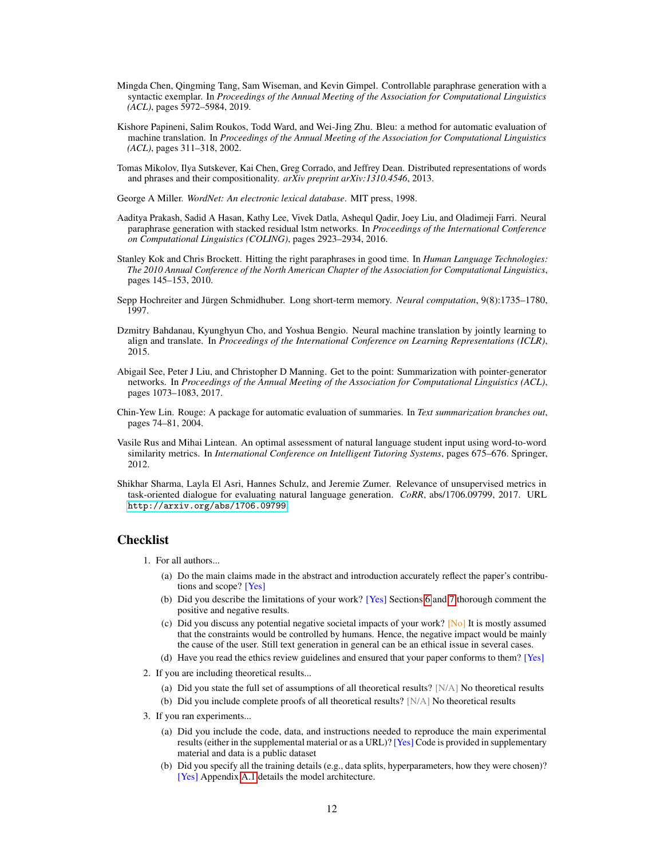- <span id="page-11-0"></span>Mingda Chen, Qingming Tang, Sam Wiseman, and Kevin Gimpel. Controllable paraphrase generation with a syntactic exemplar. In *Proceedings of the Annual Meeting of the Association for Computational Linguistics (ACL)*, pages 5972–5984, 2019.
- <span id="page-11-1"></span>Kishore Papineni, Salim Roukos, Todd Ward, and Wei-Jing Zhu. Bleu: a method for automatic evaluation of machine translation. In *Proceedings of the Annual Meeting of the Association for Computational Linguistics (ACL)*, pages 311–318, 2002.
- <span id="page-11-2"></span>Tomas Mikolov, Ilya Sutskever, Kai Chen, Greg Corrado, and Jeffrey Dean. Distributed representations of words and phrases and their compositionality. *arXiv preprint arXiv:1310.4546*, 2013.
- <span id="page-11-3"></span>George A Miller. *WordNet: An electronic lexical database*. MIT press, 1998.
- <span id="page-11-4"></span>Aaditya Prakash, Sadid A Hasan, Kathy Lee, Vivek Datla, Ashequl Qadir, Joey Liu, and Oladimeji Farri. Neural paraphrase generation with stacked residual lstm networks. In *Proceedings of the International Conference on Computational Linguistics (COLING)*, pages 2923–2934, 2016.
- <span id="page-11-5"></span>Stanley Kok and Chris Brockett. Hitting the right paraphrases in good time. In *Human Language Technologies: The 2010 Annual Conference of the North American Chapter of the Association for Computational Linguistics*, pages 145–153, 2010.
- <span id="page-11-6"></span>Sepp Hochreiter and Jürgen Schmidhuber. Long short-term memory. *Neural computation*, 9(8):1735–1780, 1997.
- <span id="page-11-7"></span>Dzmitry Bahdanau, Kyunghyun Cho, and Yoshua Bengio. Neural machine translation by jointly learning to align and translate. In *Proceedings of the International Conference on Learning Representations (ICLR)*, 2015.
- <span id="page-11-8"></span>Abigail See, Peter J Liu, and Christopher D Manning. Get to the point: Summarization with pointer-generator networks. In *Proceedings of the Annual Meeting of the Association for Computational Linguistics (ACL)*, pages 1073–1083, 2017.
- <span id="page-11-9"></span>Chin-Yew Lin. Rouge: A package for automatic evaluation of summaries. In *Text summarization branches out*, pages 74–81, 2004.
- <span id="page-11-10"></span>Vasile Rus and Mihai Lintean. An optimal assessment of natural language student input using word-to-word similarity metrics. In *International Conference on Intelligent Tutoring Systems*, pages 675–676. Springer, 2012.
- <span id="page-11-11"></span>Shikhar Sharma, Layla El Asri, Hannes Schulz, and Jeremie Zumer. Relevance of unsupervised metrics in task-oriented dialogue for evaluating natural language generation. *CoRR*, abs/1706.09799, 2017. URL <http://arxiv.org/abs/1706.09799>.

#### Checklist

- 1. For all authors...
	- (a) Do the main claims made in the abstract and introduction accurately reflect the paper's contributions and scope? [Yes]
	- (b) Did you describe the limitations of your work? [Yes] Sections [6](#page-5-0) and [7](#page-7-0) thorough comment the positive and negative results.
	- (c) Did you discuss any potential negative societal impacts of your work?  $[N<sub>o</sub>]$  It is mostly assumed that the constraints would be controlled by humans. Hence, the negative impact would be mainly the cause of the user. Still text generation in general can be an ethical issue in several cases.
	- (d) Have you read the ethics review guidelines and ensured that your paper conforms to them? [Yes]
- 2. If you are including theoretical results...
	- (a) Did you state the full set of assumptions of all theoretical results? [N/A] No theoretical results
	- (b) Did you include complete proofs of all theoretical results? [N/A] No theoretical results
- 3. If you ran experiments...
	- (a) Did you include the code, data, and instructions needed to reproduce the main experimental results (either in the supplemental material or as a URL)? [Yes] Code is provided in supplementary material and data is a public dataset
	- (b) Did you specify all the training details (e.g., data splits, hyperparameters, how they were chosen)? [Yes] Appendix [A.1](#page-12-0) details the model architecture.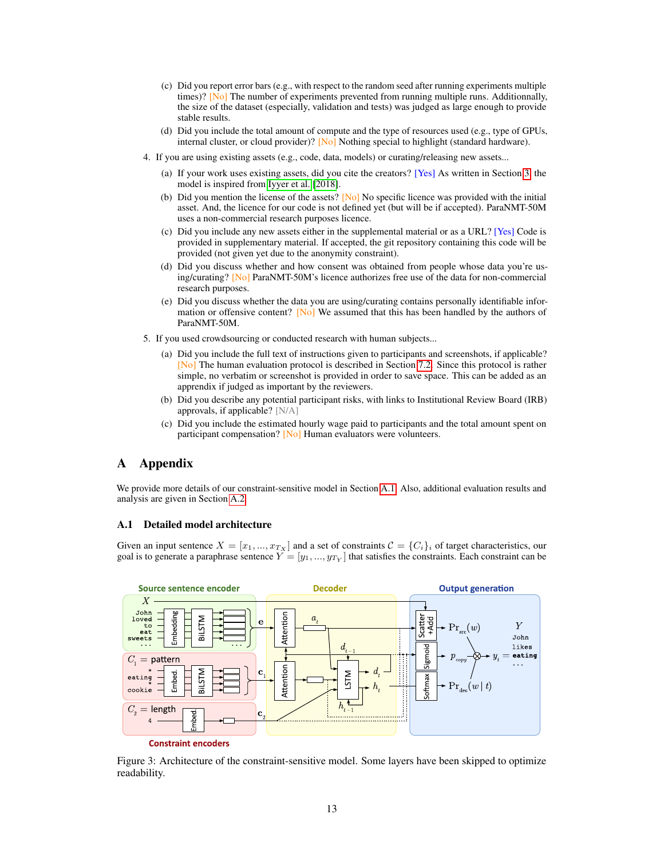- (c) Did you report error bars (e.g., with respect to the random seed after running experiments multiple times)? [No] The number of experiments prevented from running multiple runs. Additionnally, the size of the dataset (especially, validation and tests) was judged as large enough to provide stable results.
- (d) Did you include the total amount of compute and the type of resources used (e.g., type of GPUs, internal cluster, or cloud provider)? [No] Nothing special to highlight (standard hardware).
- 4. If you are using existing assets (e.g., code, data, models) or curating/releasing new assets...
	- (a) If your work uses existing assets, did you cite the creators? [Yes] As written in Section [3,](#page-2-0) the model is inspired from [Iyyer et al.](#page-9-1) [\[2018\]](#page-9-1).
	- (b) Did you mention the license of the assets?  $[N<sub>o</sub>]$  No specific licence was provided with the initial asset. And, the licence for our code is not defined yet (but will be if accepted). ParaNMT-50M uses a non-commercial research purposes licence.
	- (c) Did you include any new assets either in the supplemental material or as a URL? [Yes] Code is provided in supplementary material. If accepted, the git repository containing this code will be provided (not given yet due to the anonymity constraint).
	- (d) Did you discuss whether and how consent was obtained from people whose data you're using/curating? [No] ParaNMT-50M's licence authorizes free use of the data for non-commercial research purposes.
	- (e) Did you discuss whether the data you are using/curating contains personally identifiable information or offensive content?  $[N<sub>o</sub>]$  We assumed that this has been handled by the authors of ParaNMT-50M.
- 5. If you used crowdsourcing or conducted research with human subjects...
	- (a) Did you include the full text of instructions given to participants and screenshots, if applicable? [No] The human evaluation protocol is described in Section [7.2.](#page-8-2) Since this protocol is rather simple, no verbatim or screenshot is provided in order to save space. This can be added as an apprendix if judged as important by the reviewers.
	- (b) Did you describe any potential participant risks, with links to Institutional Review Board (IRB) approvals, if applicable? [N/A]
	- (c) Did you include the estimated hourly wage paid to participants and the total amount spent on participant compensation? [No] Human evaluators were volunteers.

# A Appendix

We provide more details of our constraint-sensitive model in Section [A.1.](#page-12-0) Also, additional evaluation results and analysis are given in Section [A.2.](#page-13-0)

### <span id="page-12-0"></span>A.1 Detailed model architecture

Given an input sentence  $X = [x_1, ..., x_{Tx}]$  and a set of constraints  $\mathcal{C} = \{C_i\}_i$  of target characteristics, our goal is to generate a paraphrase sentence  $Y = [y_1, ..., y_{T_Y}]$  that satisfies the constraints. Each constraint can be

<span id="page-12-1"></span>

Figure 3: Architecture of the constraint-sensitive model. Some layers have been skipped to optimize readability.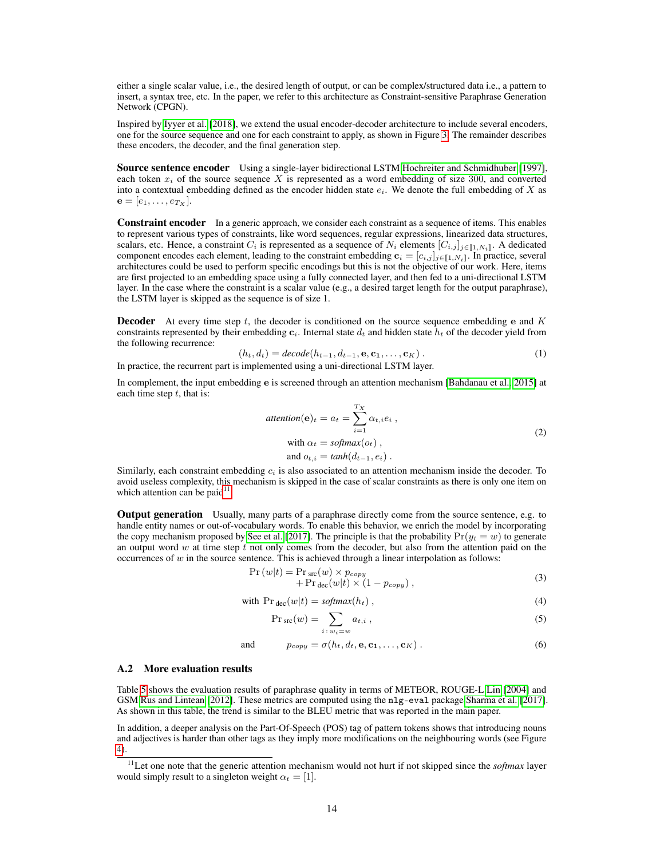either a single scalar value, i.e., the desired length of output, or can be complex/structured data i.e., a pattern to insert, a syntax tree, etc. In the paper, we refer to this architecture as Constraint-sensitive Paraphrase Generation Network (CPGN).

Inspired by [Iyyer et al.](#page-9-1) [\[2018\]](#page-9-1), we extend the usual encoder-decoder architecture to include several encoders, one for the source sequence and one for each constraint to apply, as shown in Figure [3.](#page-12-1) The remainder describes these encoders, the decoder, and the final generation step.

Source sentence encoder Using a single-layer bidirectional LSTM [Hochreiter and Schmidhuber](#page-11-6) [\[1997\]](#page-11-6), each token  $x_i$  of the source sequence X is represented as a word embedding of size 300, and converted into a contextual embedding defined as the encoder hidden state  $e_i$ . We denote the full embedding of X as  ${\bf e} = [e_1, \ldots, e_{T_X}].$ 

**Constraint encoder** In a generic approach, we consider each constraint as a sequence of items. This enables to represent various types of constraints, like word sequences, regular expressions, linearized data structures, scalars, etc. Hence, a constraint  $C_i$  is represented as a sequence of  $N_i$  elements  $[C_{i,j}]_{j\in[1,N_i]}$ . A dedicated component encodes each element, leading to the constraint embedding  $\mathbf{c}_i = [c_{i,j}]_{j\in[1,N_i]}$ . In practice, several architectures could be used to perform specific encodings but this is not the objective of our work. Here, items are first projected to an embedding space using a fully connected layer, and then fed to a uni-directional LSTM layer. In the case where the constraint is a scalar value (e.g., a desired target length for the output paraphrase), the LSTM layer is skipped as the sequence is of size 1.

**Decoder** At every time step t, the decoder is conditioned on the source sequence embedding e and  $K$ constraints represented by their embedding  $c_i$ . Internal state  $d_t$  and hidden state  $h_t$  of the decoder yield from the following recurrence:

$$
(h_t, d_t) = decode(h_{t-1}, d_{t-1}, \mathbf{e}, \mathbf{c}_1, \dots, \mathbf{c}_K).
$$
\nIn practice, the recurrent part is implemented using a uni-directional LSTM layer.

\n
$$
(1)
$$

In complement, the input embedding e is screened through an attention mechanism [\[Bahdanau et al., 2015\]](#page-11-7) at each time step  $t$ , that is:

$$
attention(e)_t = a_t = \sum_{i=1}^{T_X} \alpha_{t,i} e_i ,
$$
  
with  $\alpha_t = softmax(o_t) ,$   
and  $o_{t,i} = tanh(d_{t-1}, e_i) .$  (2)

Similarly, each constraint embedding  $c_i$  is also associated to an attention mechanism inside the decoder. To avoid useless complexity, this mechanism is skipped in the case of scalar constraints as there is only one item on which attention can be paid $11$ .

Output generation Usually, many parts of a paraphrase directly come from the source sentence, e.g. to handle entity names or out-of-vocabulary words. To enable this behavior, we enrich the model by incorporating the copy mechanism proposed by [See et al.](#page-11-8) [\[2017\]](#page-11-8). The principle is that the probability  $Pr(y_t = w)$  to generate an output word w at time step  $t$  not only comes from the decoder, but also from the attention paid on the occurrences of  $w$  in the source sentence. This is achieved through a linear interpolation as follows:

$$
\Pr(w|t) = \Pr_{\text{src}}(w) \times p_{copy} \n+ \Pr_{\text{dec}}(w|t) \times (1 - p_{copy}),
$$
\n(3)

with 
$$
\Pr_{\text{dec}}(w|t) = \text{softmax}(h_t), \tag{4}
$$

$$
\Pr_{\text{src}}(w) = \sum_{i \colon w_i = w} a_{t,i} \,,\tag{5}
$$

and 
$$
p_{copy} = \sigma(h_t, d_t, \mathbf{e}, \mathbf{c_1}, \dots, \mathbf{c}_K).
$$
 (6)

#### <span id="page-13-0"></span>A.2 More evaluation results

Table [5](#page-14-0) shows the evaluation results of paraphrase quality in terms of METEOR, ROUGE-L [Lin](#page-11-9) [\[2004\]](#page-11-9) and GSM [Rus and Lintean](#page-11-10) [\[2012\]](#page-11-10). These metrics are computed using the nlg-eval package [Sharma et al.](#page-11-11) [\[2017\]](#page-11-11). As shown in this table, the trend is similar to the BLEU metric that was reported in the main paper.

In addition, a deeper analysis on the Part-Of-Speech (POS) tag of pattern tokens shows that introducing nouns and adjectives is harder than other tags as they imply more modifications on the neighbouring words (see Figure [4\)](#page-14-1).

<span id="page-13-1"></span><sup>11</sup>Let one note that the generic attention mechanism would not hurt if not skipped since the *softmax* layer would simply result to a singleton weight  $\alpha_t = [1]$ .